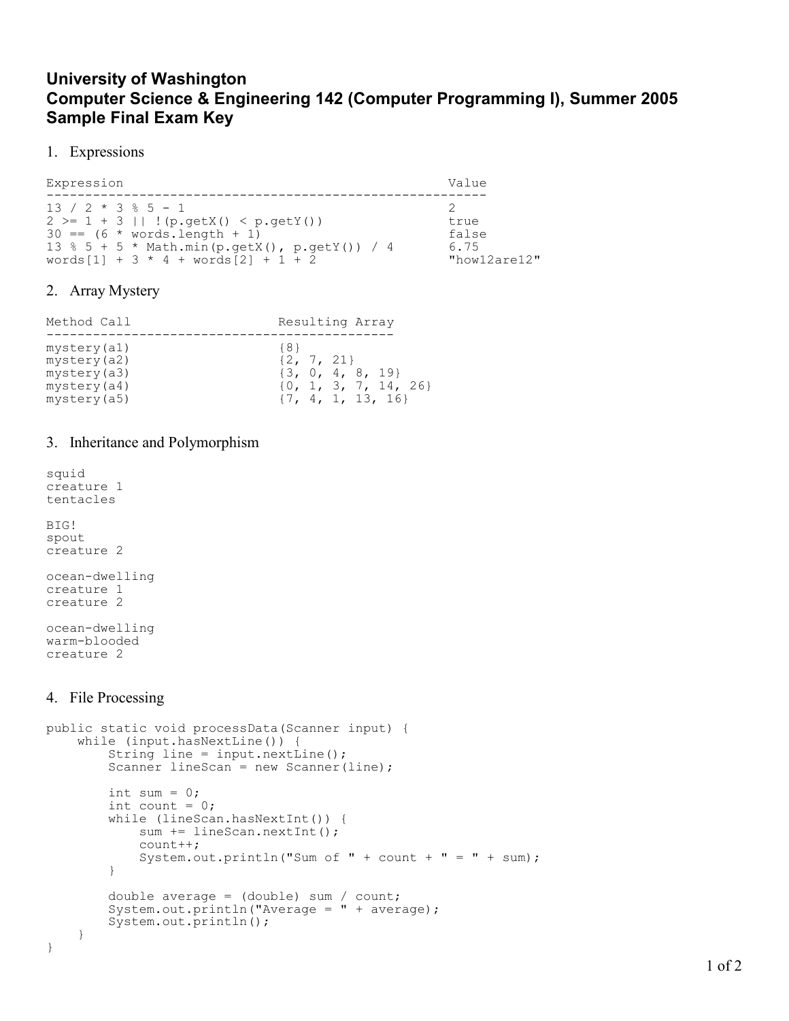# University of Washington Computer Science & Engineering 142 (Computer Programming I), Summer 2005 Sample Final Exam Key

### 1. Expressions

Expression Value ---------------------------------------------------------  $13 / 2 * 3 * 5 - 1$  $2 >= 1 + 3$  || !(p.getX() < p.getY()) true  $30 = (6 * words.length + 1)$ <br>  $13 % 5 + 5 * Math.min(p.getX(), p.getY()) / 4$  6.75 13 % 5 + 5 \* Math.min(p.getX(), p.getY()) / 4 6.75  $words[1] + 3 * 4 + words[2] + 1 + 2$  "how12are12"

# 2. Array Mystery

| Method Call | Resulting Array          |
|-------------|--------------------------|
| mystery(a1) | ${8}$                    |
| mystery(a2) | $\{2, 7, 21\}$           |
| mystery(a3) | $\{3, 0, 4, 8, 19\}$     |
| mystery(a4) | $\{0, 1, 3, 7, 14, 26\}$ |
| mystery(a5) | $\{7, 4, 1, 13, 16\}$    |

### 3. Inheritance and Polymorphism

squid creature 1 tentacles BIG! spout creature 2 ocean-dwelling creature 1 creature 2 ocean-dwelling warm-blooded creature 2

# 4. File Processing

```
public static void processData(Scanner input) { 
     while (input.hasNextLine()) { 
         String line = input.nextLine(); 
        Scanner lineScan = new Scanner(line);
        int sum = 0;
        int count = 0;
         while (lineScan.hasNextInt()) { 
            sum += lineScan.nextInt();
             count++; 
            System.out.println("Sum of " + count + " = " + sum);
         } 
         double average = (double) sum / count; 
        System.out.println("Average = " + average);
         System.out.println(); 
     } 
}
```